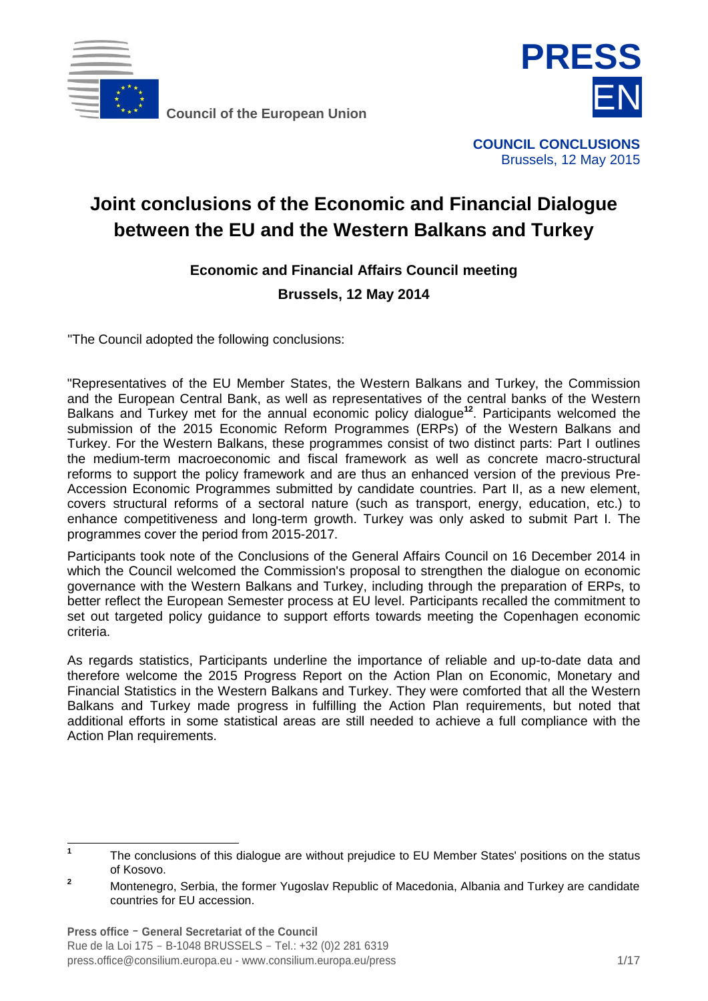

**Council of the European Union**



Brussels, 12 May 2015

# **Joint conclusions of the Economic and Financial Dialogue between the EU and the Western Balkans and Turkey**

**Economic and Financial Affairs Council meeting Brussels, 12 May 2014**

"The Council adopted the following conclusions:

"Representatives of the EU Member States, the Western Balkans and Turkey, the Commission and the European Central Bank, as well as representatives of the central banks of the Western Balkans and Turkey met for the annual economic policy dialogue**<sup>12</sup>** . Participants welcomed the submission of the 2015 Economic Reform Programmes (ERPs) of the Western Balkans and Turkey. For the Western Balkans, these programmes consist of two distinct parts: Part I outlines the medium-term macroeconomic and fiscal framework as well as concrete macro-structural reforms to support the policy framework and are thus an enhanced version of the previous Pre-Accession Economic Programmes submitted by candidate countries. Part II, as a new element, covers structural reforms of a sectoral nature (such as transport, energy, education, etc.) to enhance competitiveness and long-term growth. Turkey was only asked to submit Part I. The programmes cover the period from 2015-2017.

Participants took note of the Conclusions of the General Affairs Council on 16 December 2014 in which the Council welcomed the Commission's proposal to strengthen the dialogue on economic governance with the Western Balkans and Turkey, including through the preparation of ERPs, to better reflect the European Semester process at EU level. Participants recalled the commitment to set out targeted policy guidance to support efforts towards meeting the Copenhagen economic criteria.

As regards statistics, Participants underline the importance of reliable and up-to-date data and therefore welcome the 2015 Progress Report on the Action Plan on Economic, Monetary and Financial Statistics in the Western Balkans and Turkey. They were comforted that all the Western Balkans and Turkey made progress in fulfilling the Action Plan requirements, but noted that additional efforts in some statistical areas are still needed to achieve a full compliance with the Action Plan requirements.

 **1** The conclusions of this dialogue are without prejudice to EU Member States' positions on the status of Kosovo.

**<sup>2</sup>** Montenegro, Serbia, the former Yugoslav Republic of Macedonia, Albania and Turkey are candidate countries for EU accession.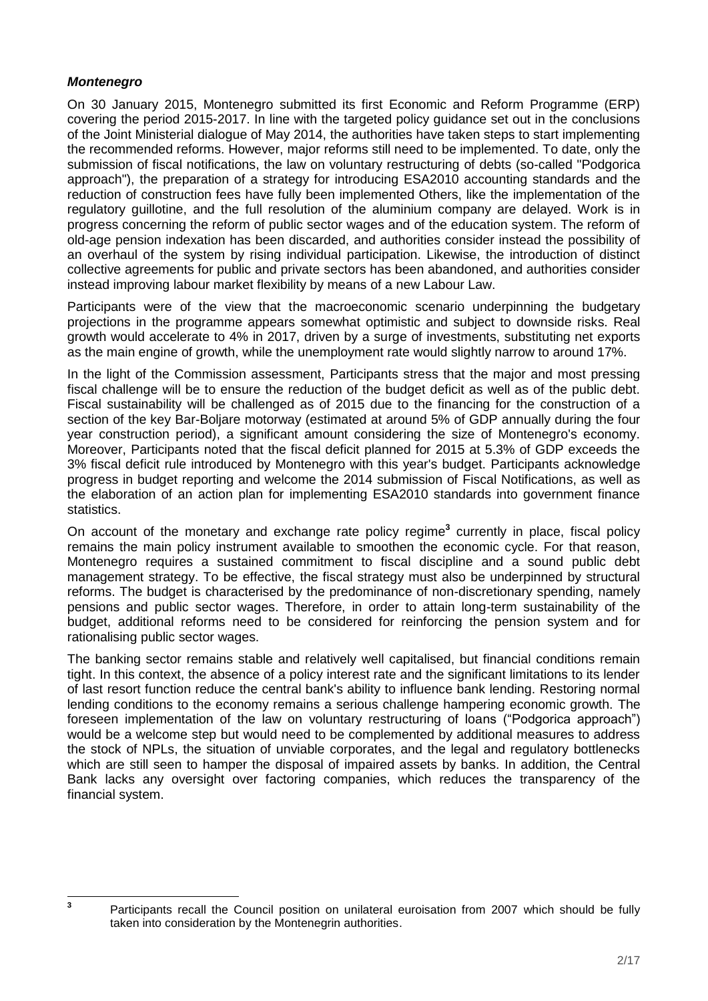# *Montenegro*

**3**

On 30 January 2015, Montenegro submitted its first Economic and Reform Programme (ERP) covering the period 2015-2017. In line with the targeted policy guidance set out in the conclusions of the Joint Ministerial dialogue of May 2014, the authorities have taken steps to start implementing the recommended reforms. However, major reforms still need to be implemented. To date, only the submission of fiscal notifications, the law on voluntary restructuring of debts (so-called "Podgorica approach"), the preparation of a strategy for introducing ESA2010 accounting standards and the reduction of construction fees have fully been implemented Others, like the implementation of the regulatory guillotine, and the full resolution of the aluminium company are delayed. Work is in progress concerning the reform of public sector wages and of the education system. The reform of old-age pension indexation has been discarded, and authorities consider instead the possibility of an overhaul of the system by rising individual participation. Likewise, the introduction of distinct collective agreements for public and private sectors has been abandoned, and authorities consider instead improving labour market flexibility by means of a new Labour Law.

Participants were of the view that the macroeconomic scenario underpinning the budgetary projections in the programme appears somewhat optimistic and subject to downside risks. Real growth would accelerate to 4% in 2017, driven by a surge of investments, substituting net exports as the main engine of growth, while the unemployment rate would slightly narrow to around 17%.

In the light of the Commission assessment, Participants stress that the major and most pressing fiscal challenge will be to ensure the reduction of the budget deficit as well as of the public debt. Fiscal sustainability will be challenged as of 2015 due to the financing for the construction of a section of the key Bar-Boljare motorway (estimated at around 5% of GDP annually during the four year construction period), a significant amount considering the size of Montenegro's economy. Moreover, Participants noted that the fiscal deficit planned for 2015 at 5.3% of GDP exceeds the 3% fiscal deficit rule introduced by Montenegro with this year's budget. Participants acknowledge progress in budget reporting and welcome the 2014 submission of Fiscal Notifications, as well as the elaboration of an action plan for implementing ESA2010 standards into government finance statistics.

On account of the monetary and exchange rate policy regime**<sup>3</sup>** currently in place, fiscal policy remains the main policy instrument available to smoothen the economic cycle. For that reason, Montenegro requires a sustained commitment to fiscal discipline and a sound public debt management strategy. To be effective, the fiscal strategy must also be underpinned by structural reforms. The budget is characterised by the predominance of non-discretionary spending, namely pensions and public sector wages. Therefore, in order to attain long-term sustainability of the budget, additional reforms need to be considered for reinforcing the pension system and for rationalising public sector wages.

The banking sector remains stable and relatively well capitalised, but financial conditions remain tight. In this context, the absence of a policy interest rate and the significant limitations to its lender of last resort function reduce the central bank's ability to influence bank lending. Restoring normal lending conditions to the economy remains a serious challenge hampering economic growth. The foreseen implementation of the law on voluntary restructuring of loans ("Podgorica approach") would be a welcome step but would need to be complemented by additional measures to address the stock of NPLs, the situation of unviable corporates, and the legal and regulatory bottlenecks which are still seen to hamper the disposal of impaired assets by banks. In addition, the Central Bank lacks any oversight over factoring companies, which reduces the transparency of the financial system.

Participants recall the Council position on unilateral euroisation from 2007 which should be fully taken into consideration by the Montenegrin authorities.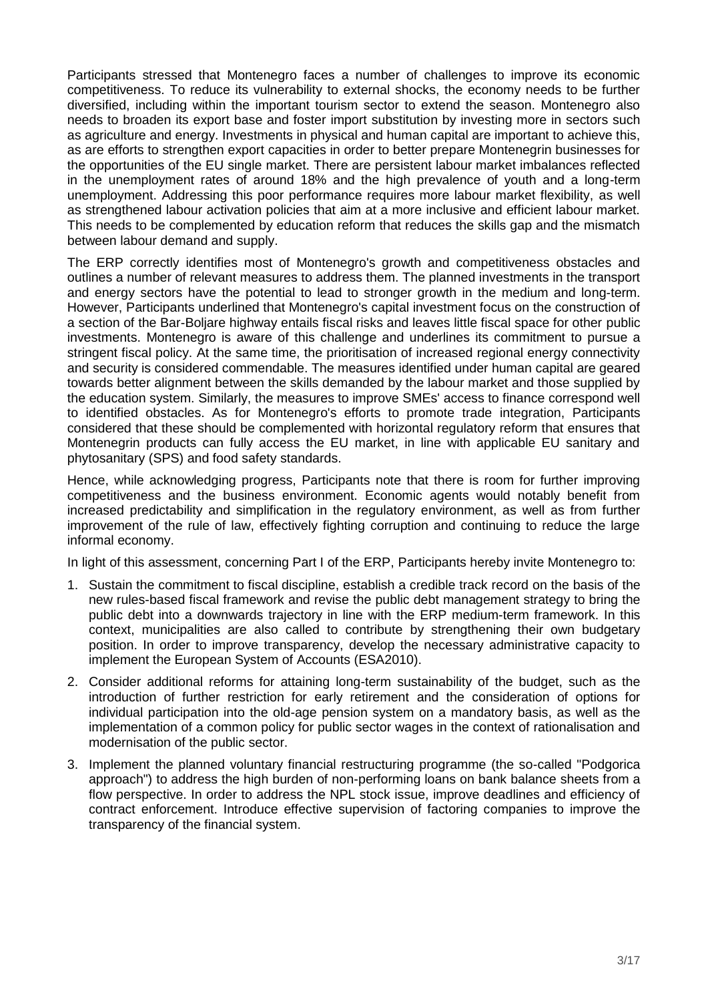Participants stressed that Montenegro faces a number of challenges to improve its economic competitiveness. To reduce its vulnerability to external shocks, the economy needs to be further diversified, including within the important tourism sector to extend the season. Montenegro also needs to broaden its export base and foster import substitution by investing more in sectors such as agriculture and energy. Investments in physical and human capital are important to achieve this, as are efforts to strengthen export capacities in order to better prepare Montenegrin businesses for the opportunities of the EU single market. There are persistent labour market imbalances reflected in the unemployment rates of around 18% and the high prevalence of youth and a long-term unemployment. Addressing this poor performance requires more labour market flexibility, as well as strengthened labour activation policies that aim at a more inclusive and efficient labour market. This needs to be complemented by education reform that reduces the skills gap and the mismatch between labour demand and supply.

The ERP correctly identifies most of Montenegro's growth and competitiveness obstacles and outlines a number of relevant measures to address them. The planned investments in the transport and energy sectors have the potential to lead to stronger growth in the medium and long-term. However, Participants underlined that Montenegro's capital investment focus on the construction of a section of the Bar-Boljare highway entails fiscal risks and leaves little fiscal space for other public investments. Montenegro is aware of this challenge and underlines its commitment to pursue a stringent fiscal policy. At the same time, the prioritisation of increased regional energy connectivity and security is considered commendable. The measures identified under human capital are geared towards better alignment between the skills demanded by the labour market and those supplied by the education system. Similarly, the measures to improve SMEs' access to finance correspond well to identified obstacles. As for Montenegro's efforts to promote trade integration, Participants considered that these should be complemented with horizontal regulatory reform that ensures that Montenegrin products can fully access the EU market, in line with applicable EU sanitary and phytosanitary (SPS) and food safety standards.

Hence, while acknowledging progress, Participants note that there is room for further improving competitiveness and the business environment. Economic agents would notably benefit from increased predictability and simplification in the regulatory environment, as well as from further improvement of the rule of law, effectively fighting corruption and continuing to reduce the large informal economy.

In light of this assessment, concerning Part I of the ERP, Participants hereby invite Montenegro to:

- 1. Sustain the commitment to fiscal discipline, establish a credible track record on the basis of the new rules-based fiscal framework and revise the public debt management strategy to bring the public debt into a downwards trajectory in line with the ERP medium-term framework. In this context, municipalities are also called to contribute by strengthening their own budgetary position. In order to improve transparency, develop the necessary administrative capacity to implement the European System of Accounts (ESA2010).
- 2. Consider additional reforms for attaining long-term sustainability of the budget, such as the introduction of further restriction for early retirement and the consideration of options for individual participation into the old-age pension system on a mandatory basis, as well as the implementation of a common policy for public sector wages in the context of rationalisation and modernisation of the public sector.
- 3. Implement the planned voluntary financial restructuring programme (the so-called "Podgorica approach") to address the high burden of non-performing loans on bank balance sheets from a flow perspective. In order to address the NPL stock issue, improve deadlines and efficiency of contract enforcement. Introduce effective supervision of factoring companies to improve the transparency of the financial system.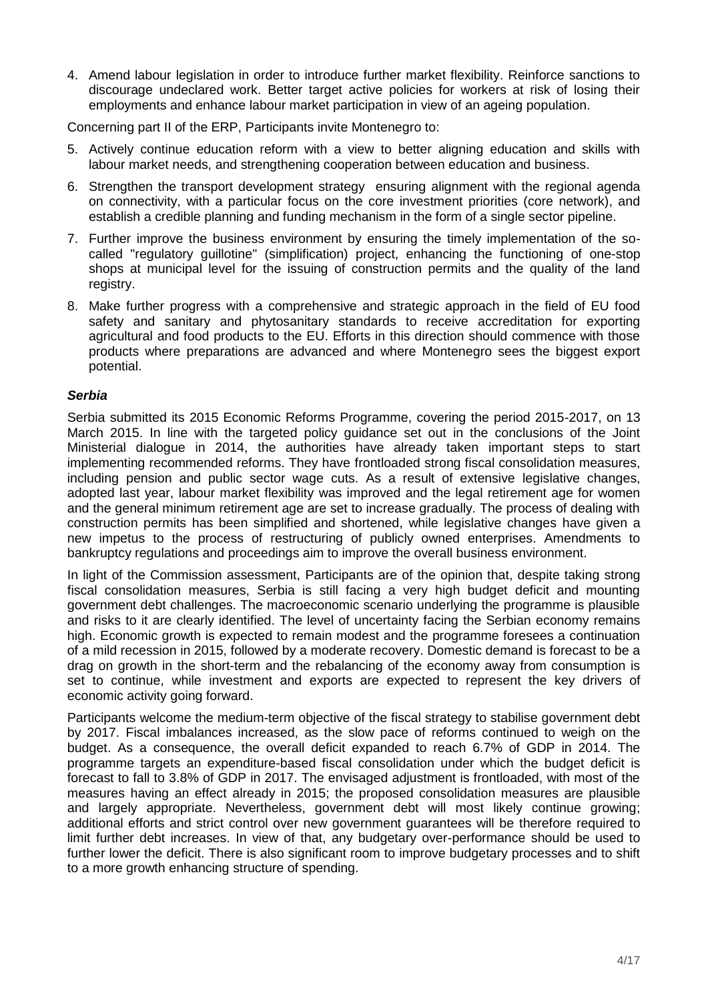4. Amend labour legislation in order to introduce further market flexibility. Reinforce sanctions to discourage undeclared work. Better target active policies for workers at risk of losing their employments and enhance labour market participation in view of an ageing population.

Concerning part II of the ERP, Participants invite Montenegro to:

- 5. Actively continue education reform with a view to better aligning education and skills with labour market needs, and strengthening cooperation between education and business.
- 6. Strengthen the transport development strategy ensuring alignment with the regional agenda on connectivity, with a particular focus on the core investment priorities (core network), and establish a credible planning and funding mechanism in the form of a single sector pipeline.
- 7. Further improve the business environment by ensuring the timely implementation of the socalled "regulatory guillotine" (simplification) project, enhancing the functioning of one-stop shops at municipal level for the issuing of construction permits and the quality of the land registry.
- 8. Make further progress with a comprehensive and strategic approach in the field of EU food safety and sanitary and phytosanitary standards to receive accreditation for exporting agricultural and food products to the EU. Efforts in this direction should commence with those products where preparations are advanced and where Montenegro sees the biggest export potential.

# *Serbia*

Serbia submitted its 2015 Economic Reforms Programme, covering the period 2015-2017, on 13 March 2015. In line with the targeted policy guidance set out in the conclusions of the Joint Ministerial dialogue in 2014, the authorities have already taken important steps to start implementing recommended reforms. They have frontloaded strong fiscal consolidation measures, including pension and public sector wage cuts. As a result of extensive legislative changes, adopted last year, labour market flexibility was improved and the legal retirement age for women and the general minimum retirement age are set to increase gradually. The process of dealing with construction permits has been simplified and shortened, while legislative changes have given a new impetus to the process of restructuring of publicly owned enterprises. Amendments to bankruptcy regulations and proceedings aim to improve the overall business environment.

In light of the Commission assessment, Participants are of the opinion that, despite taking strong fiscal consolidation measures, Serbia is still facing a very high budget deficit and mounting government debt challenges. The macroeconomic scenario underlying the programme is plausible and risks to it are clearly identified. The level of uncertainty facing the Serbian economy remains high. Economic growth is expected to remain modest and the programme foresees a continuation of a mild recession in 2015, followed by a moderate recovery. Domestic demand is forecast to be a drag on growth in the short-term and the rebalancing of the economy away from consumption is set to continue, while investment and exports are expected to represent the key drivers of economic activity going forward.

Participants welcome the medium-term objective of the fiscal strategy to stabilise government debt by 2017. Fiscal imbalances increased, as the slow pace of reforms continued to weigh on the budget. As a consequence, the overall deficit expanded to reach 6.7% of GDP in 2014. The programme targets an expenditure-based fiscal consolidation under which the budget deficit is forecast to fall to 3.8% of GDP in 2017. The envisaged adjustment is frontloaded, with most of the measures having an effect already in 2015; the proposed consolidation measures are plausible and largely appropriate. Nevertheless, government debt will most likely continue growing; additional efforts and strict control over new government guarantees will be therefore required to limit further debt increases. In view of that, any budgetary over-performance should be used to further lower the deficit. There is also significant room to improve budgetary processes and to shift to a more growth enhancing structure of spending.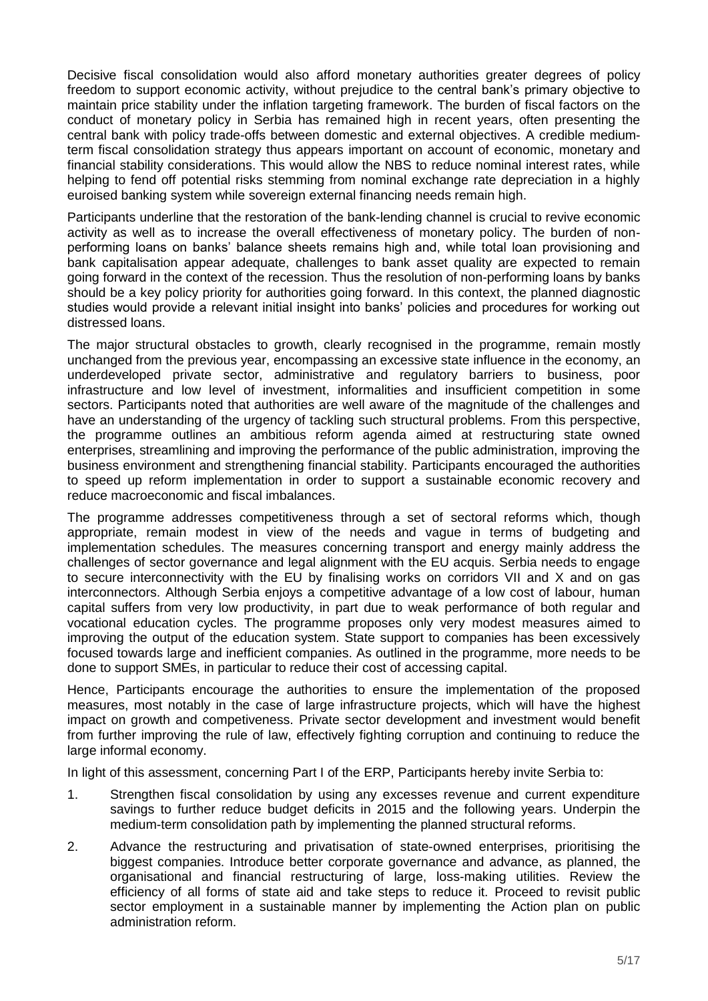Decisive fiscal consolidation would also afford monetary authorities greater degrees of policy freedom to support economic activity, without prejudice to the central bank's primary objective to maintain price stability under the inflation targeting framework. The burden of fiscal factors on the conduct of monetary policy in Serbia has remained high in recent years, often presenting the central bank with policy trade-offs between domestic and external objectives. A credible mediumterm fiscal consolidation strategy thus appears important on account of economic, monetary and financial stability considerations. This would allow the NBS to reduce nominal interest rates, while helping to fend off potential risks stemming from nominal exchange rate depreciation in a highly euroised banking system while sovereign external financing needs remain high.

Participants underline that the restoration of the bank-lending channel is crucial to revive economic activity as well as to increase the overall effectiveness of monetary policy. The burden of nonperforming loans on banks' balance sheets remains high and, while total loan provisioning and bank capitalisation appear adequate, challenges to bank asset quality are expected to remain going forward in the context of the recession. Thus the resolution of non-performing loans by banks should be a key policy priority for authorities going forward. In this context, the planned diagnostic studies would provide a relevant initial insight into banks' policies and procedures for working out distressed loans.

The major structural obstacles to growth, clearly recognised in the programme, remain mostly unchanged from the previous year, encompassing an excessive state influence in the economy, an underdeveloped private sector, administrative and regulatory barriers to business, poor infrastructure and low level of investment, informalities and insufficient competition in some sectors. Participants noted that authorities are well aware of the magnitude of the challenges and have an understanding of the urgency of tackling such structural problems. From this perspective, the programme outlines an ambitious reform agenda aimed at restructuring state owned enterprises, streamlining and improving the performance of the public administration, improving the business environment and strengthening financial stability. Participants encouraged the authorities to speed up reform implementation in order to support a sustainable economic recovery and reduce macroeconomic and fiscal imbalances.

The programme addresses competitiveness through a set of sectoral reforms which, though appropriate, remain modest in view of the needs and vague in terms of budgeting and implementation schedules. The measures concerning transport and energy mainly address the challenges of sector governance and legal alignment with the EU acquis. Serbia needs to engage to secure interconnectivity with the EU by finalising works on corridors VII and X and on gas interconnectors. Although Serbia enjoys a competitive advantage of a low cost of labour, human capital suffers from very low productivity, in part due to weak performance of both regular and vocational education cycles. The programme proposes only very modest measures aimed to improving the output of the education system. State support to companies has been excessively focused towards large and inefficient companies. As outlined in the programme, more needs to be done to support SMEs, in particular to reduce their cost of accessing capital.

Hence, Participants encourage the authorities to ensure the implementation of the proposed measures, most notably in the case of large infrastructure projects, which will have the highest impact on growth and competiveness. Private sector development and investment would benefit from further improving the rule of law, effectively fighting corruption and continuing to reduce the large informal economy.

In light of this assessment, concerning Part I of the ERP, Participants hereby invite Serbia to:

- 1. Strengthen fiscal consolidation by using any excesses revenue and current expenditure savings to further reduce budget deficits in 2015 and the following years. Underpin the medium-term consolidation path by implementing the planned structural reforms.
- 2. Advance the restructuring and privatisation of state-owned enterprises, prioritising the biggest companies. Introduce better corporate governance and advance, as planned, the organisational and financial restructuring of large, loss-making utilities. Review the efficiency of all forms of state aid and take steps to reduce it. Proceed to revisit public sector employment in a sustainable manner by implementing the Action plan on public administration reform.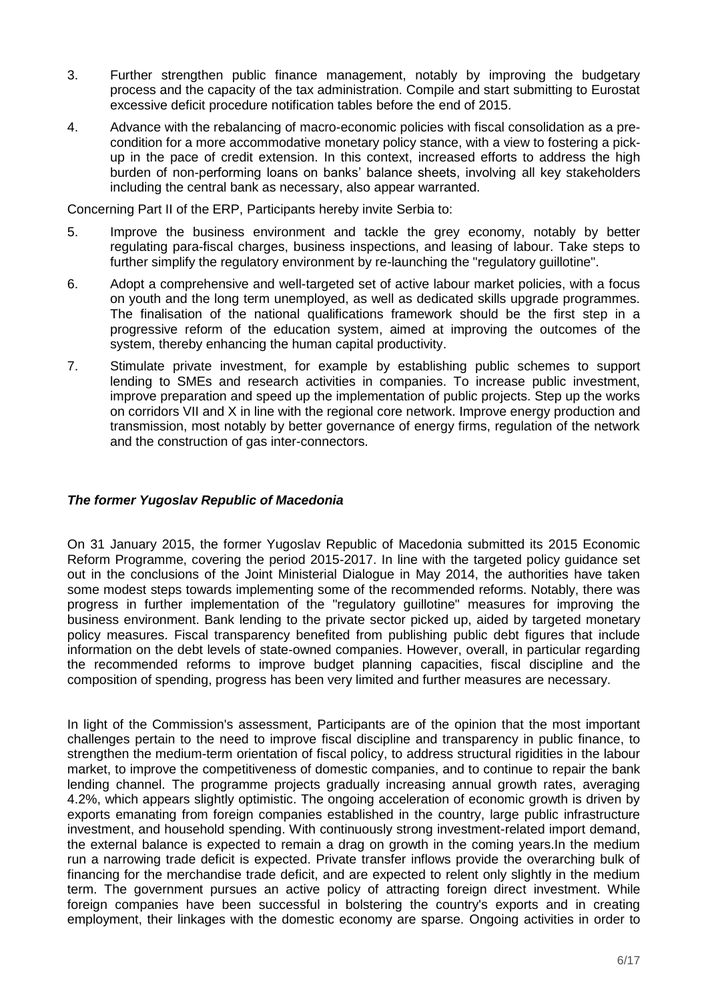- 3. Further strengthen public finance management, notably by improving the budgetary process and the capacity of the tax administration. Compile and start submitting to Eurostat excessive deficit procedure notification tables before the end of 2015.
- 4. Advance with the rebalancing of macro-economic policies with fiscal consolidation as a precondition for a more accommodative monetary policy stance, with a view to fostering a pickup in the pace of credit extension. In this context, increased efforts to address the high burden of non-performing loans on banks' balance sheets, involving all key stakeholders including the central bank as necessary, also appear warranted.

Concerning Part II of the ERP, Participants hereby invite Serbia to:

- 5. Improve the business environment and tackle the grey economy, notably by better regulating para-fiscal charges, business inspections, and leasing of labour. Take steps to further simplify the regulatory environment by re-launching the "regulatory guillotine".
- 6. Adopt a comprehensive and well-targeted set of active labour market policies, with a focus on youth and the long term unemployed, as well as dedicated skills upgrade programmes. The finalisation of the national qualifications framework should be the first step in a progressive reform of the education system, aimed at improving the outcomes of the system, thereby enhancing the human capital productivity.
- 7. Stimulate private investment, for example by establishing public schemes to support lending to SMEs and research activities in companies. To increase public investment, improve preparation and speed up the implementation of public projects. Step up the works on corridors VII and X in line with the regional core network. Improve energy production and transmission, most notably by better governance of energy firms, regulation of the network and the construction of gas inter-connectors.

# *The former Yugoslav Republic of Macedonia*

On 31 January 2015, the former Yugoslav Republic of Macedonia submitted its 2015 Economic Reform Programme, covering the period 2015-2017. In line with the targeted policy guidance set out in the conclusions of the Joint Ministerial Dialogue in May 2014, the authorities have taken some modest steps towards implementing some of the recommended reforms. Notably, there was progress in further implementation of the "regulatory guillotine" measures for improving the business environment. Bank lending to the private sector picked up, aided by targeted monetary policy measures. Fiscal transparency benefited from publishing public debt figures that include information on the debt levels of state-owned companies. However, overall, in particular regarding the recommended reforms to improve budget planning capacities, fiscal discipline and the composition of spending, progress has been very limited and further measures are necessary.

In light of the Commission's assessment, Participants are of the opinion that the most important challenges pertain to the need to improve fiscal discipline and transparency in public finance, to strengthen the medium-term orientation of fiscal policy, to address structural rigidities in the labour market, to improve the competitiveness of domestic companies, and to continue to repair the bank lending channel. The programme projects gradually increasing annual growth rates, averaging 4.2%, which appears slightly optimistic. The ongoing acceleration of economic growth is driven by exports emanating from foreign companies established in the country, large public infrastructure investment, and household spending. With continuously strong investment-related import demand, the external balance is expected to remain a drag on growth in the coming years.In the medium run a narrowing trade deficit is expected. Private transfer inflows provide the overarching bulk of financing for the merchandise trade deficit, and are expected to relent only slightly in the medium term. The government pursues an active policy of attracting foreign direct investment. While foreign companies have been successful in bolstering the country's exports and in creating employment, their linkages with the domestic economy are sparse. Ongoing activities in order to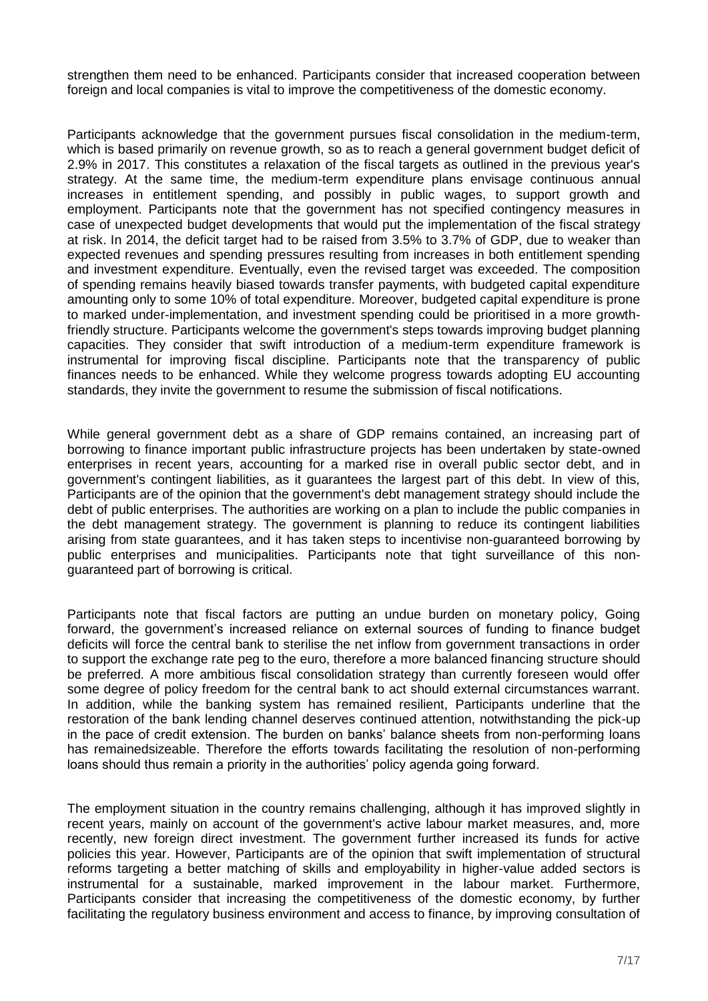strengthen them need to be enhanced. Participants consider that increased cooperation between foreign and local companies is vital to improve the competitiveness of the domestic economy.

Participants acknowledge that the government pursues fiscal consolidation in the medium-term, which is based primarily on revenue growth, so as to reach a general government budget deficit of 2.9% in 2017. This constitutes a relaxation of the fiscal targets as outlined in the previous year's strategy. At the same time, the medium-term expenditure plans envisage continuous annual increases in entitlement spending, and possibly in public wages, to support growth and employment. Participants note that the government has not specified contingency measures in case of unexpected budget developments that would put the implementation of the fiscal strategy at risk. In 2014, the deficit target had to be raised from 3.5% to 3.7% of GDP, due to weaker than expected revenues and spending pressures resulting from increases in both entitlement spending and investment expenditure. Eventually, even the revised target was exceeded. The composition of spending remains heavily biased towards transfer payments, with budgeted capital expenditure amounting only to some 10% of total expenditure. Moreover, budgeted capital expenditure is prone to marked under-implementation, and investment spending could be prioritised in a more growthfriendly structure. Participants welcome the government's steps towards improving budget planning capacities. They consider that swift introduction of a medium-term expenditure framework is instrumental for improving fiscal discipline. Participants note that the transparency of public finances needs to be enhanced. While they welcome progress towards adopting EU accounting standards, they invite the government to resume the submission of fiscal notifications.

While general government debt as a share of GDP remains contained, an increasing part of borrowing to finance important public infrastructure projects has been undertaken by state-owned enterprises in recent years, accounting for a marked rise in overall public sector debt, and in government's contingent liabilities, as it guarantees the largest part of this debt. In view of this, Participants are of the opinion that the government's debt management strategy should include the debt of public enterprises. The authorities are working on a plan to include the public companies in the debt management strategy. The government is planning to reduce its contingent liabilities arising from state guarantees, and it has taken steps to incentivise non-guaranteed borrowing by public enterprises and municipalities. Participants note that tight surveillance of this nonguaranteed part of borrowing is critical.

Participants note that fiscal factors are putting an undue burden on monetary policy, Going forward, the government's increased reliance on external sources of funding to finance budget deficits will force the central bank to sterilise the net inflow from government transactions in order to support the exchange rate peg to the euro, therefore a more balanced financing structure should be preferred. A more ambitious fiscal consolidation strategy than currently foreseen would offer some degree of policy freedom for the central bank to act should external circumstances warrant. In addition, while the banking system has remained resilient, Participants underline that the restoration of the bank lending channel deserves continued attention, notwithstanding the pick-up in the pace of credit extension. The burden on banks' balance sheets from non-performing loans has remainedsizeable. Therefore the efforts towards facilitating the resolution of non-performing loans should thus remain a priority in the authorities' policy agenda going forward.

The employment situation in the country remains challenging, although it has improved slightly in recent years, mainly on account of the government's active labour market measures, and, more recently, new foreign direct investment. The government further increased its funds for active policies this year. However, Participants are of the opinion that swift implementation of structural reforms targeting a better matching of skills and employability in higher-value added sectors is instrumental for a sustainable, marked improvement in the labour market. Furthermore, Participants consider that increasing the competitiveness of the domestic economy, by further facilitating the regulatory business environment and access to finance, by improving consultation of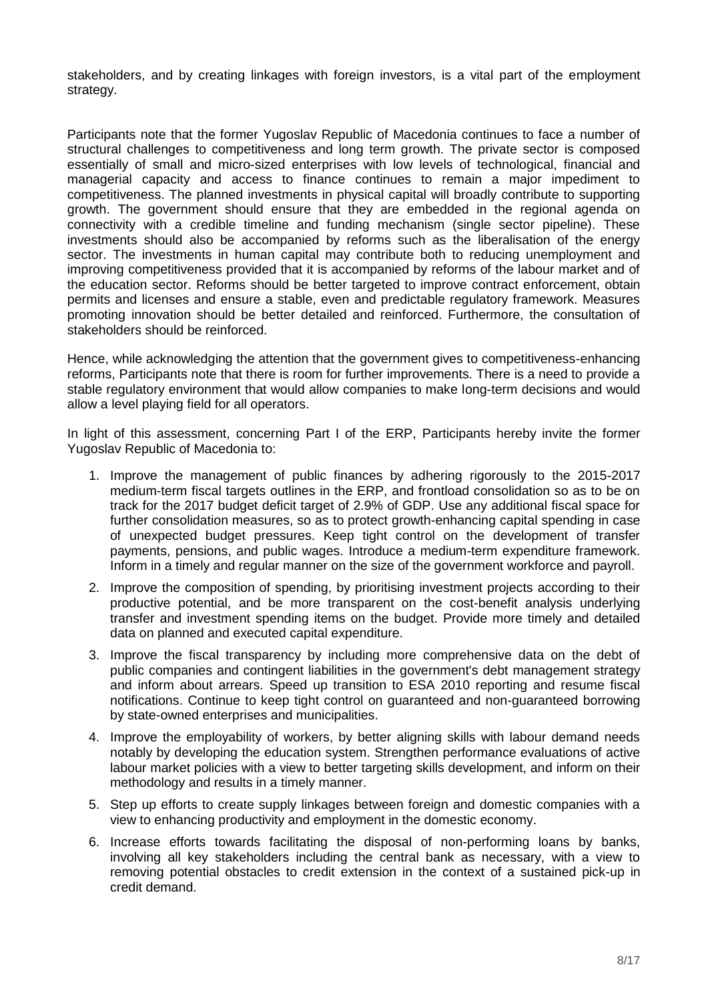stakeholders, and by creating linkages with foreign investors, is a vital part of the employment strategy.

Participants note that the former Yugoslav Republic of Macedonia continues to face a number of structural challenges to competitiveness and long term growth. The private sector is composed essentially of small and micro-sized enterprises with low levels of technological, financial and managerial capacity and access to finance continues to remain a major impediment to competitiveness. The planned investments in physical capital will broadly contribute to supporting growth. The government should ensure that they are embedded in the regional agenda on connectivity with a credible timeline and funding mechanism (single sector pipeline). These investments should also be accompanied by reforms such as the liberalisation of the energy sector. The investments in human capital may contribute both to reducing unemployment and improving competitiveness provided that it is accompanied by reforms of the labour market and of the education sector. Reforms should be better targeted to improve contract enforcement, obtain permits and licenses and ensure a stable, even and predictable regulatory framework. Measures promoting innovation should be better detailed and reinforced. Furthermore, the consultation of stakeholders should be reinforced.

Hence, while acknowledging the attention that the government gives to competitiveness-enhancing reforms, Participants note that there is room for further improvements. There is a need to provide a stable regulatory environment that would allow companies to make long-term decisions and would allow a level playing field for all operators.

In light of this assessment, concerning Part I of the ERP, Participants hereby invite the former Yugoslav Republic of Macedonia to:

- 1. Improve the management of public finances by adhering rigorously to the 2015-2017 medium-term fiscal targets outlines in the ERP, and frontload consolidation so as to be on track for the 2017 budget deficit target of 2.9% of GDP. Use any additional fiscal space for further consolidation measures, so as to protect growth-enhancing capital spending in case of unexpected budget pressures. Keep tight control on the development of transfer payments, pensions, and public wages. Introduce a medium-term expenditure framework. Inform in a timely and regular manner on the size of the government workforce and payroll.
- 2. Improve the composition of spending, by prioritising investment projects according to their productive potential, and be more transparent on the cost-benefit analysis underlying transfer and investment spending items on the budget. Provide more timely and detailed data on planned and executed capital expenditure.
- 3. Improve the fiscal transparency by including more comprehensive data on the debt of public companies and contingent liabilities in the government's debt management strategy and inform about arrears. Speed up transition to ESA 2010 reporting and resume fiscal notifications. Continue to keep tight control on guaranteed and non-guaranteed borrowing by state-owned enterprises and municipalities.
- 4. Improve the employability of workers, by better aligning skills with labour demand needs notably by developing the education system. Strengthen performance evaluations of active labour market policies with a view to better targeting skills development, and inform on their methodology and results in a timely manner.
- 5. Step up efforts to create supply linkages between foreign and domestic companies with a view to enhancing productivity and employment in the domestic economy.
- 6. Increase efforts towards facilitating the disposal of non-performing loans by banks, involving all key stakeholders including the central bank as necessary, with a view to removing potential obstacles to credit extension in the context of a sustained pick-up in credit demand.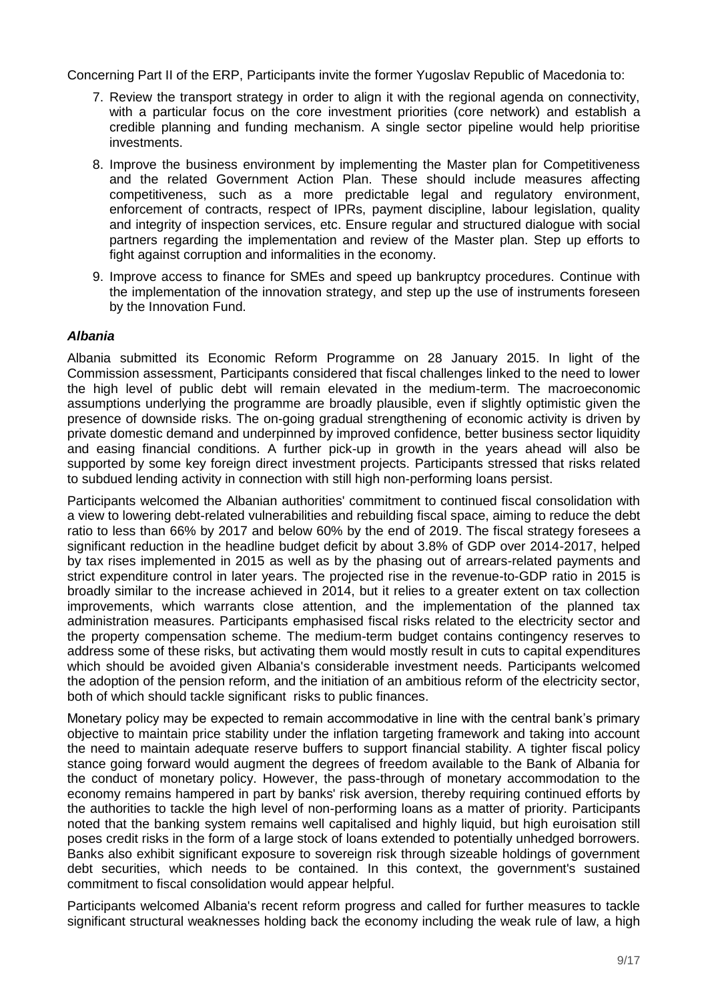Concerning Part II of the ERP, Participants invite the former Yugoslav Republic of Macedonia to:

- 7. Review the transport strategy in order to align it with the regional agenda on connectivity, with a particular focus on the core investment priorities (core network) and establish a credible planning and funding mechanism. A single sector pipeline would help prioritise investments.
- 8. Improve the business environment by implementing the Master plan for Competitiveness and the related Government Action Plan. These should include measures affecting competitiveness, such as a more predictable legal and regulatory environment, enforcement of contracts, respect of IPRs, payment discipline, labour legislation, quality and integrity of inspection services, etc. Ensure regular and structured dialogue with social partners regarding the implementation and review of the Master plan. Step up efforts to fight against corruption and informalities in the economy.
- 9. Improve access to finance for SMEs and speed up bankruptcy procedures. Continue with the implementation of the innovation strategy, and step up the use of instruments foreseen by the Innovation Fund.

#### *Albania*

Albania submitted its Economic Reform Programme on 28 January 2015. In light of the Commission assessment, Participants considered that fiscal challenges linked to the need to lower the high level of public debt will remain elevated in the medium-term. The macroeconomic assumptions underlying the programme are broadly plausible, even if slightly optimistic given the presence of downside risks. The on-going gradual strengthening of economic activity is driven by private domestic demand and underpinned by improved confidence, better business sector liquidity and easing financial conditions. A further pick-up in growth in the years ahead will also be supported by some key foreign direct investment projects. Participants stressed that risks related to subdued lending activity in connection with still high non-performing loans persist.

Participants welcomed the Albanian authorities' commitment to continued fiscal consolidation with a view to lowering debt-related vulnerabilities and rebuilding fiscal space, aiming to reduce the debt ratio to less than 66% by 2017 and below 60% by the end of 2019. The fiscal strategy foresees a significant reduction in the headline budget deficit by about 3.8% of GDP over 2014-2017, helped by tax rises implemented in 2015 as well as by the phasing out of arrears-related payments and strict expenditure control in later years. The projected rise in the revenue-to-GDP ratio in 2015 is broadly similar to the increase achieved in 2014, but it relies to a greater extent on tax collection improvements, which warrants close attention, and the implementation of the planned tax administration measures. Participants emphasised fiscal risks related to the electricity sector and the property compensation scheme. The medium-term budget contains contingency reserves to address some of these risks, but activating them would mostly result in cuts to capital expenditures which should be avoided given Albania's considerable investment needs. Participants welcomed the adoption of the pension reform, and the initiation of an ambitious reform of the electricity sector, both of which should tackle significant risks to public finances.

Monetary policy may be expected to remain accommodative in line with the central bank's primary objective to maintain price stability under the inflation targeting framework and taking into account the need to maintain adequate reserve buffers to support financial stability. A tighter fiscal policy stance going forward would augment the degrees of freedom available to the Bank of Albania for the conduct of monetary policy. However, the pass-through of monetary accommodation to the economy remains hampered in part by banks' risk aversion, thereby requiring continued efforts by the authorities to tackle the high level of non-performing loans as a matter of priority. Participants noted that the banking system remains well capitalised and highly liquid, but high euroisation still poses credit risks in the form of a large stock of loans extended to potentially unhedged borrowers. Banks also exhibit significant exposure to sovereign risk through sizeable holdings of government debt securities, which needs to be contained. In this context, the government's sustained commitment to fiscal consolidation would appear helpful.

Participants welcomed Albania's recent reform progress and called for further measures to tackle significant structural weaknesses holding back the economy including the weak rule of law, a high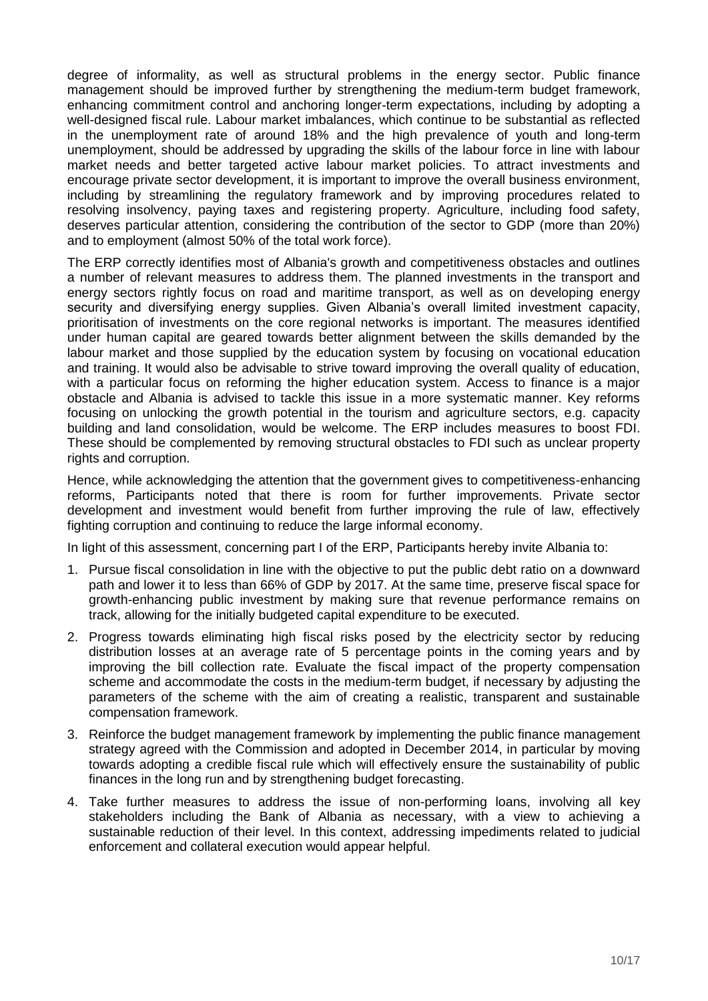degree of informality, as well as structural problems in the energy sector. Public finance management should be improved further by strengthening the medium-term budget framework, enhancing commitment control and anchoring longer-term expectations, including by adopting a well-designed fiscal rule. Labour market imbalances, which continue to be substantial as reflected in the unemployment rate of around 18% and the high prevalence of youth and long-term unemployment, should be addressed by upgrading the skills of the labour force in line with labour market needs and better targeted active labour market policies. To attract investments and encourage private sector development, it is important to improve the overall business environment, including by streamlining the regulatory framework and by improving procedures related to resolving insolvency, paying taxes and registering property. Agriculture, including food safety, deserves particular attention, considering the contribution of the sector to GDP (more than 20%) and to employment (almost 50% of the total work force).

The ERP correctly identifies most of Albania's growth and competitiveness obstacles and outlines a number of relevant measures to address them. The planned investments in the transport and energy sectors rightly focus on road and maritime transport, as well as on developing energy security and diversifying energy supplies. Given Albania's overall limited investment capacity, prioritisation of investments on the core regional networks is important. The measures identified under human capital are geared towards better alignment between the skills demanded by the labour market and those supplied by the education system by focusing on vocational education and training. It would also be advisable to strive toward improving the overall quality of education, with a particular focus on reforming the higher education system. Access to finance is a major obstacle and Albania is advised to tackle this issue in a more systematic manner. Key reforms focusing on unlocking the growth potential in the tourism and agriculture sectors, e.g. capacity building and land consolidation, would be welcome. The ERP includes measures to boost FDI. These should be complemented by removing structural obstacles to FDI such as unclear property rights and corruption.

Hence, while acknowledging the attention that the government gives to competitiveness-enhancing reforms, Participants noted that there is room for further improvements. Private sector development and investment would benefit from further improving the rule of law, effectively fighting corruption and continuing to reduce the large informal economy.

In light of this assessment, concerning part I of the ERP, Participants hereby invite Albania to:

- 1. Pursue fiscal consolidation in line with the objective to put the public debt ratio on a downward path and lower it to less than 66% of GDP by 2017. At the same time, preserve fiscal space for growth-enhancing public investment by making sure that revenue performance remains on track, allowing for the initially budgeted capital expenditure to be executed.
- 2. Progress towards eliminating high fiscal risks posed by the electricity sector by reducing distribution losses at an average rate of 5 percentage points in the coming years and by improving the bill collection rate. Evaluate the fiscal impact of the property compensation scheme and accommodate the costs in the medium-term budget, if necessary by adjusting the parameters of the scheme with the aim of creating a realistic, transparent and sustainable compensation framework.
- 3. Reinforce the budget management framework by implementing the public finance management strategy agreed with the Commission and adopted in December 2014, in particular by moving towards adopting a credible fiscal rule which will effectively ensure the sustainability of public finances in the long run and by strengthening budget forecasting.
- 4. Take further measures to address the issue of non-performing loans, involving all key stakeholders including the Bank of Albania as necessary, with a view to achieving a sustainable reduction of their level. In this context, addressing impediments related to judicial enforcement and collateral execution would appear helpful.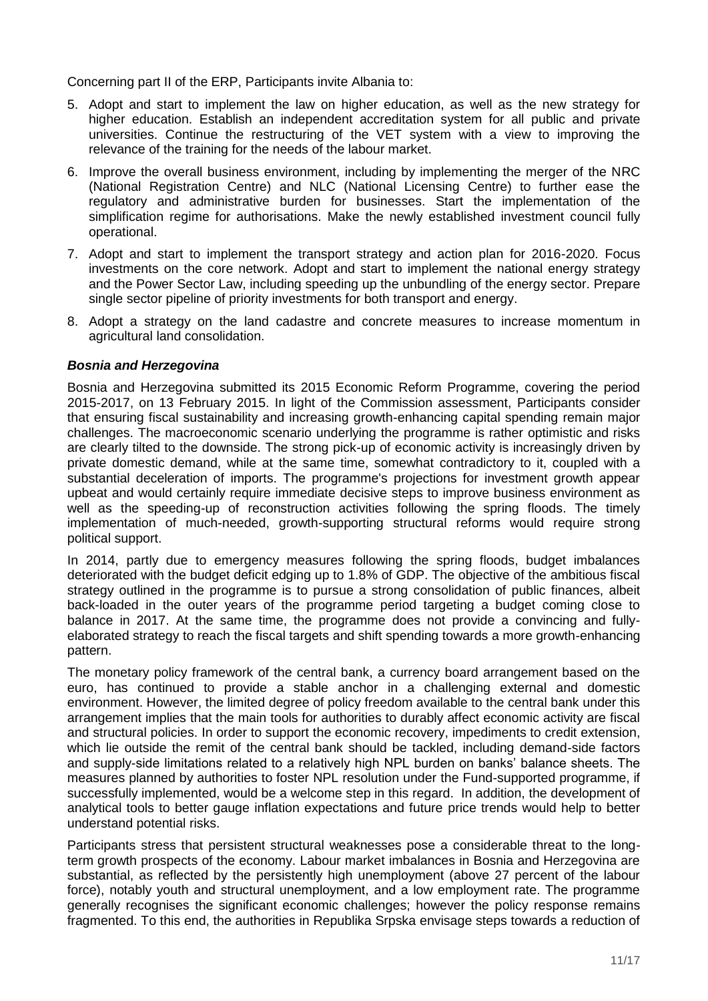Concerning part II of the ERP, Participants invite Albania to:

- 5. Adopt and start to implement the law on higher education, as well as the new strategy for higher education. Establish an independent accreditation system for all public and private universities. Continue the restructuring of the VET system with a view to improving the relevance of the training for the needs of the labour market.
- 6. Improve the overall business environment, including by implementing the merger of the NRC (National Registration Centre) and NLC (National Licensing Centre) to further ease the regulatory and administrative burden for businesses. Start the implementation of the simplification regime for authorisations. Make the newly established investment council fully operational.
- 7. Adopt and start to implement the transport strategy and action plan for 2016-2020. Focus investments on the core network. Adopt and start to implement the national energy strategy and the Power Sector Law, including speeding up the unbundling of the energy sector. Prepare single sector pipeline of priority investments for both transport and energy.
- 8. Adopt a strategy on the land cadastre and concrete measures to increase momentum in agricultural land consolidation.

# *Bosnia and Herzegovina*

Bosnia and Herzegovina submitted its 2015 Economic Reform Programme, covering the period 2015-2017, on 13 February 2015. In light of the Commission assessment, Participants consider that ensuring fiscal sustainability and increasing growth-enhancing capital spending remain major challenges. The macroeconomic scenario underlying the programme is rather optimistic and risks are clearly tilted to the downside. The strong pick-up of economic activity is increasingly driven by private domestic demand, while at the same time, somewhat contradictory to it, coupled with a substantial deceleration of imports. The programme's projections for investment growth appear upbeat and would certainly require immediate decisive steps to improve business environment as well as the speeding-up of reconstruction activities following the spring floods. The timely implementation of much-needed, growth-supporting structural reforms would require strong political support.

In 2014, partly due to emergency measures following the spring floods, budget imbalances deteriorated with the budget deficit edging up to 1.8% of GDP. The objective of the ambitious fiscal strategy outlined in the programme is to pursue a strong consolidation of public finances, albeit back-loaded in the outer years of the programme period targeting a budget coming close to balance in 2017. At the same time, the programme does not provide a convincing and fullyelaborated strategy to reach the fiscal targets and shift spending towards a more growth-enhancing pattern.

The monetary policy framework of the central bank, a currency board arrangement based on the euro, has continued to provide a stable anchor in a challenging external and domestic environment. However, the limited degree of policy freedom available to the central bank under this arrangement implies that the main tools for authorities to durably affect economic activity are fiscal and structural policies. In order to support the economic recovery, impediments to credit extension, which lie outside the remit of the central bank should be tackled, including demand-side factors and supply-side limitations related to a relatively high NPL burden on banks' balance sheets. The measures planned by authorities to foster NPL resolution under the Fund-supported programme, if successfully implemented, would be a welcome step in this regard. In addition, the development of analytical tools to better gauge inflation expectations and future price trends would help to better understand potential risks.

Participants stress that persistent structural weaknesses pose a considerable threat to the longterm growth prospects of the economy. Labour market imbalances in Bosnia and Herzegovina are substantial, as reflected by the persistently high unemployment (above 27 percent of the labour force), notably youth and structural unemployment, and a low employment rate. The programme generally recognises the significant economic challenges; however the policy response remains fragmented. To this end, the authorities in Republika Srpska envisage steps towards a reduction of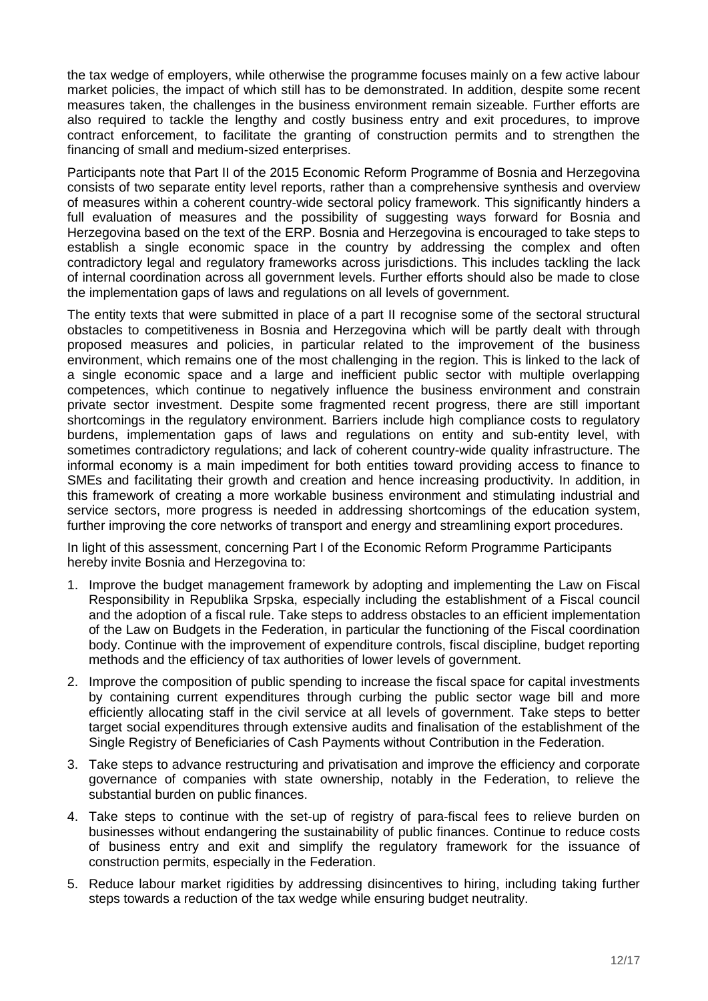the tax wedge of employers, while otherwise the programme focuses mainly on a few active labour market policies, the impact of which still has to be demonstrated. In addition, despite some recent measures taken, the challenges in the business environment remain sizeable. Further efforts are also required to tackle the lengthy and costly business entry and exit procedures, to improve contract enforcement, to facilitate the granting of construction permits and to strengthen the financing of small and medium-sized enterprises.

Participants note that Part II of the 2015 Economic Reform Programme of Bosnia and Herzegovina consists of two separate entity level reports, rather than a comprehensive synthesis and overview of measures within a coherent country-wide sectoral policy framework. This significantly hinders a full evaluation of measures and the possibility of suggesting ways forward for Bosnia and Herzegovina based on the text of the ERP. Bosnia and Herzegovina is encouraged to take steps to establish a single economic space in the country by addressing the complex and often contradictory legal and regulatory frameworks across jurisdictions. This includes tackling the lack of internal coordination across all government levels. Further efforts should also be made to close the implementation gaps of laws and regulations on all levels of government.

The entity texts that were submitted in place of a part II recognise some of the sectoral structural obstacles to competitiveness in Bosnia and Herzegovina which will be partly dealt with through proposed measures and policies, in particular related to the improvement of the business environment, which remains one of the most challenging in the region. This is linked to the lack of a single economic space and a large and inefficient public sector with multiple overlapping competences, which continue to negatively influence the business environment and constrain private sector investment. Despite some fragmented recent progress, there are still important shortcomings in the regulatory environment. Barriers include high compliance costs to regulatory burdens, implementation gaps of laws and regulations on entity and sub-entity level, with sometimes contradictory regulations; and lack of coherent country-wide quality infrastructure. The informal economy is a main impediment for both entities toward providing access to finance to SMEs and facilitating their growth and creation and hence increasing productivity. In addition, in this framework of creating a more workable business environment and stimulating industrial and service sectors, more progress is needed in addressing shortcomings of the education system, further improving the core networks of transport and energy and streamlining export procedures.

In light of this assessment, concerning Part I of the Economic Reform Programme Participants hereby invite Bosnia and Herzegovina to:

- 1. Improve the budget management framework by adopting and implementing the Law on Fiscal Responsibility in Republika Srpska, especially including the establishment of a Fiscal council and the adoption of a fiscal rule. Take steps to address obstacles to an efficient implementation of the Law on Budgets in the Federation, in particular the functioning of the Fiscal coordination body. Continue with the improvement of expenditure controls, fiscal discipline, budget reporting methods and the efficiency of tax authorities of lower levels of government.
- 2. Improve the composition of public spending to increase the fiscal space for capital investments by containing current expenditures through curbing the public sector wage bill and more efficiently allocating staff in the civil service at all levels of government. Take steps to better target social expenditures through extensive audits and finalisation of the establishment of the Single Registry of Beneficiaries of Cash Payments without Contribution in the Federation.
- 3. Take steps to advance restructuring and privatisation and improve the efficiency and corporate governance of companies with state ownership, notably in the Federation, to relieve the substantial burden on public finances.
- 4. Take steps to continue with the set-up of registry of para-fiscal fees to relieve burden on businesses without endangering the sustainability of public finances. Continue to reduce costs of business entry and exit and simplify the regulatory framework for the issuance of construction permits, especially in the Federation.
- 5. Reduce labour market rigidities by addressing disincentives to hiring, including taking further steps towards a reduction of the tax wedge while ensuring budget neutrality.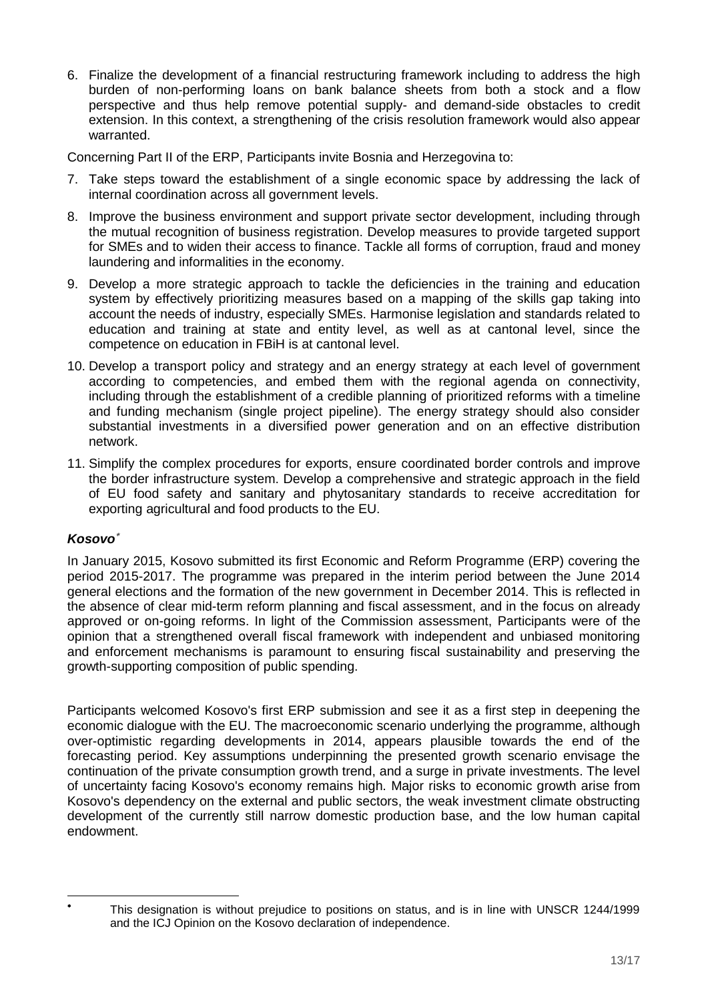6. Finalize the development of a financial restructuring framework including to address the high burden of non-performing loans on bank balance sheets from both a stock and a flow perspective and thus help remove potential supply- and demand-side obstacles to credit extension. In this context, a strengthening of the crisis resolution framework would also appear warranted.

Concerning Part II of the ERP, Participants invite Bosnia and Herzegovina to:

- 7. Take steps toward the establishment of a single economic space by addressing the lack of internal coordination across all government levels.
- 8. Improve the business environment and support private sector development, including through the mutual recognition of business registration. Develop measures to provide targeted support for SMEs and to widen their access to finance. Tackle all forms of corruption, fraud and money laundering and informalities in the economy.
- 9. Develop a more strategic approach to tackle the deficiencies in the training and education system by effectively prioritizing measures based on a mapping of the skills gap taking into account the needs of industry, especially SMEs. Harmonise legislation and standards related to education and training at state and entity level, as well as at cantonal level, since the competence on education in FBiH is at cantonal level.
- 10. Develop a transport policy and strategy and an energy strategy at each level of government according to competencies, and embed them with the regional agenda on connectivity, including through the establishment of a credible planning of prioritized reforms with a timeline and funding mechanism (single project pipeline). The energy strategy should also consider substantial investments in a diversified power generation and on an effective distribution network.
- 11. Simplify the complex procedures for exports, ensure coordinated border controls and improve the border infrastructure system. Develop a comprehensive and strategic approach in the field of EU food safety and sanitary and phytosanitary standards to receive accreditation for exporting agricultural and food products to the EU.

# *Kosovo*

In January 2015, Kosovo submitted its first Economic and Reform Programme (ERP) covering the period 2015-2017. The programme was prepared in the interim period between the June 2014 general elections and the formation of the new government in December 2014. This is reflected in the absence of clear mid-term reform planning and fiscal assessment, and in the focus on already approved or on-going reforms. In light of the Commission assessment, Participants were of the opinion that a strengthened overall fiscal framework with independent and unbiased monitoring and enforcement mechanisms is paramount to ensuring fiscal sustainability and preserving the growth-supporting composition of public spending.

Participants welcomed Kosovo's first ERP submission and see it as a first step in deepening the economic dialogue with the EU. The macroeconomic scenario underlying the programme, although over-optimistic regarding developments in 2014, appears plausible towards the end of the forecasting period. Key assumptions underpinning the presented growth scenario envisage the continuation of the private consumption growth trend, and a surge in private investments. The level of uncertainty facing Kosovo's economy remains high. Major risks to economic growth arise from Kosovo's dependency on the external and public sectors, the weak investment climate obstructing development of the currently still narrow domestic production base, and the low human capital endowment.

<sup>-</sup>۰

This designation is without prejudice to positions on status, and is in line with UNSCR 1244/1999 and the ICJ Opinion on the Kosovo declaration of independence.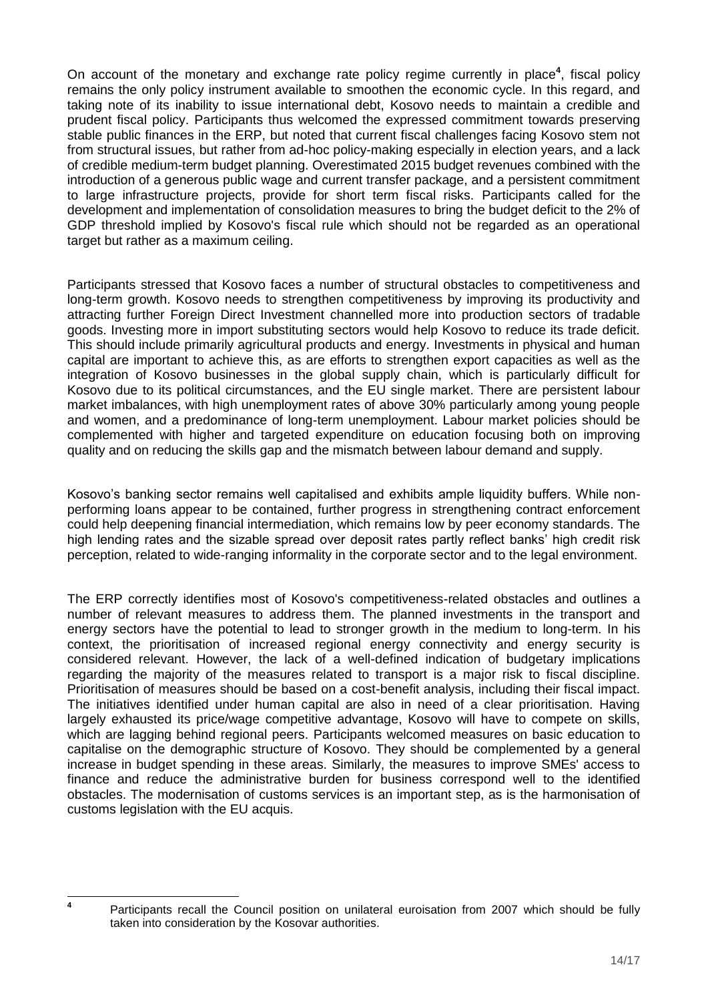On account of the monetary and exchange rate policy regime currently in place**<sup>4</sup>** , fiscal policy remains the only policy instrument available to smoothen the economic cycle. In this regard, and taking note of its inability to issue international debt, Kosovo needs to maintain a credible and prudent fiscal policy. Participants thus welcomed the expressed commitment towards preserving stable public finances in the ERP, but noted that current fiscal challenges facing Kosovo stem not from structural issues, but rather from ad-hoc policy-making especially in election years, and a lack of credible medium-term budget planning. Overestimated 2015 budget revenues combined with the introduction of a generous public wage and current transfer package, and a persistent commitment to large infrastructure projects, provide for short term fiscal risks. Participants called for the development and implementation of consolidation measures to bring the budget deficit to the 2% of GDP threshold implied by Kosovo's fiscal rule which should not be regarded as an operational target but rather as a maximum ceiling.

Participants stressed that Kosovo faces a number of structural obstacles to competitiveness and long-term growth. Kosovo needs to strengthen competitiveness by improving its productivity and attracting further Foreign Direct Investment channelled more into production sectors of tradable goods. Investing more in import substituting sectors would help Kosovo to reduce its trade deficit. This should include primarily agricultural products and energy. Investments in physical and human capital are important to achieve this, as are efforts to strengthen export capacities as well as the integration of Kosovo businesses in the global supply chain, which is particularly difficult for Kosovo due to its political circumstances, and the EU single market. There are persistent labour market imbalances, with high unemployment rates of above 30% particularly among young people and women, and a predominance of long-term unemployment. Labour market policies should be complemented with higher and targeted expenditure on education focusing both on improving quality and on reducing the skills gap and the mismatch between labour demand and supply.

Kosovo's banking sector remains well capitalised and exhibits ample liquidity buffers. While nonperforming loans appear to be contained, further progress in strengthening contract enforcement could help deepening financial intermediation, which remains low by peer economy standards. The high lending rates and the sizable spread over deposit rates partly reflect banks' high credit risk perception, related to wide-ranging informality in the corporate sector and to the legal environment.

The ERP correctly identifies most of Kosovo's competitiveness-related obstacles and outlines a number of relevant measures to address them. The planned investments in the transport and energy sectors have the potential to lead to stronger growth in the medium to long-term. In his context, the prioritisation of increased regional energy connectivity and energy security is considered relevant. However, the lack of a well-defined indication of budgetary implications regarding the majority of the measures related to transport is a major risk to fiscal discipline. Prioritisation of measures should be based on a cost-benefit analysis, including their fiscal impact. The initiatives identified under human capital are also in need of a clear prioritisation. Having largely exhausted its price/wage competitive advantage, Kosovo will have to compete on skills, which are lagging behind regional peers. Participants welcomed measures on basic education to capitalise on the demographic structure of Kosovo. They should be complemented by a general increase in budget spending in these areas. Similarly, the measures to improve SMEs' access to finance and reduce the administrative burden for business correspond well to the identified obstacles. The modernisation of customs services is an important step, as is the harmonisation of customs legislation with the EU acquis.

**4**

Participants recall the Council position on unilateral euroisation from 2007 which should be fully taken into consideration by the Kosovar authorities.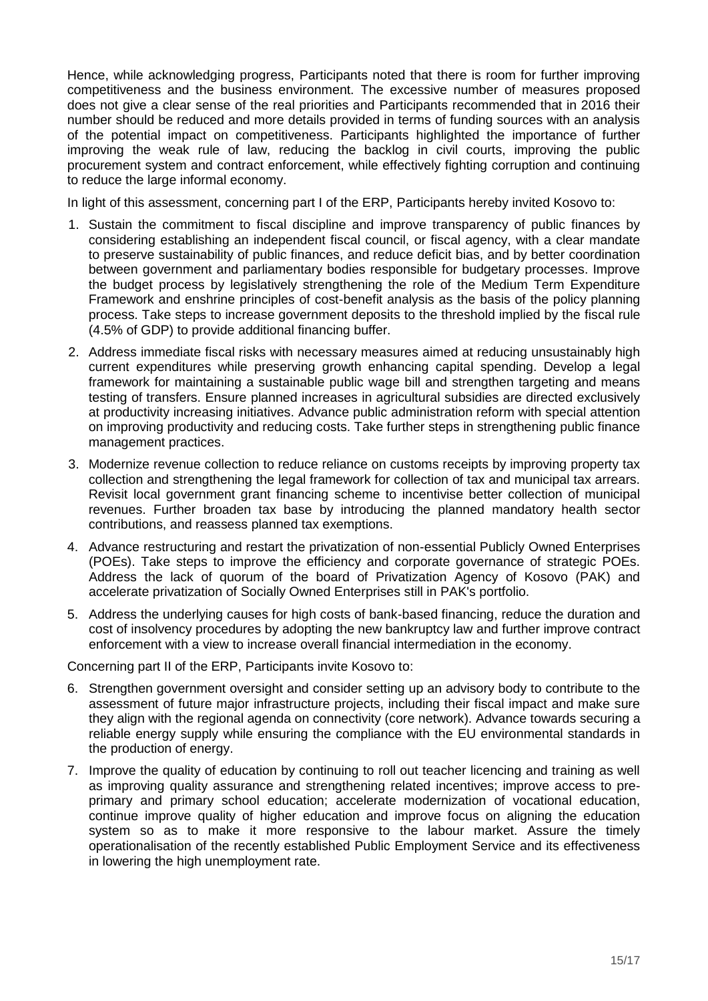Hence, while acknowledging progress, Participants noted that there is room for further improving competitiveness and the business environment. The excessive number of measures proposed does not give a clear sense of the real priorities and Participants recommended that in 2016 their number should be reduced and more details provided in terms of funding sources with an analysis of the potential impact on competitiveness. Participants highlighted the importance of further improving the weak rule of law, reducing the backlog in civil courts, improving the public procurement system and contract enforcement, while effectively fighting corruption and continuing to reduce the large informal economy.

In light of this assessment, concerning part I of the ERP, Participants hereby invited Kosovo to:

- 1. Sustain the commitment to fiscal discipline and improve transparency of public finances by considering establishing an independent fiscal council, or fiscal agency, with a clear mandate to preserve sustainability of public finances, and reduce deficit bias, and by better coordination between government and parliamentary bodies responsible for budgetary processes. Improve the budget process by legislatively strengthening the role of the Medium Term Expenditure Framework and enshrine principles of cost-benefit analysis as the basis of the policy planning process. Take steps to increase government deposits to the threshold implied by the fiscal rule (4.5% of GDP) to provide additional financing buffer.
- 2. Address immediate fiscal risks with necessary measures aimed at reducing unsustainably high current expenditures while preserving growth enhancing capital spending. Develop a legal framework for maintaining a sustainable public wage bill and strengthen targeting and means testing of transfers. Ensure planned increases in agricultural subsidies are directed exclusively at productivity increasing initiatives. Advance public administration reform with special attention on improving productivity and reducing costs. Take further steps in strengthening public finance management practices.
- 3. Modernize revenue collection to reduce reliance on customs receipts by improving property tax collection and strengthening the legal framework for collection of tax and municipal tax arrears. Revisit local government grant financing scheme to incentivise better collection of municipal revenues. Further broaden tax base by introducing the planned mandatory health sector contributions, and reassess planned tax exemptions.
- 4. Advance restructuring and restart the privatization of non-essential Publicly Owned Enterprises (POEs). Take steps to improve the efficiency and corporate governance of strategic POEs. Address the lack of quorum of the board of Privatization Agency of Kosovo (PAK) and accelerate privatization of Socially Owned Enterprises still in PAK's portfolio.
- 5. Address the underlying causes for high costs of bank-based financing, reduce the duration and cost of insolvency procedures by adopting the new bankruptcy law and further improve contract enforcement with a view to increase overall financial intermediation in the economy.

Concerning part II of the ERP, Participants invite Kosovo to:

- 6. Strengthen government oversight and consider setting up an advisory body to contribute to the assessment of future major infrastructure projects, including their fiscal impact and make sure they align with the regional agenda on connectivity (core network). Advance towards securing a reliable energy supply while ensuring the compliance with the EU environmental standards in the production of energy.
- 7. Improve the quality of education by continuing to roll out teacher licencing and training as well as improving quality assurance and strengthening related incentives; improve access to preprimary and primary school education; accelerate modernization of vocational education, continue improve quality of higher education and improve focus on aligning the education system so as to make it more responsive to the labour market. Assure the timely operationalisation of the recently established Public Employment Service and its effectiveness in lowering the high unemployment rate.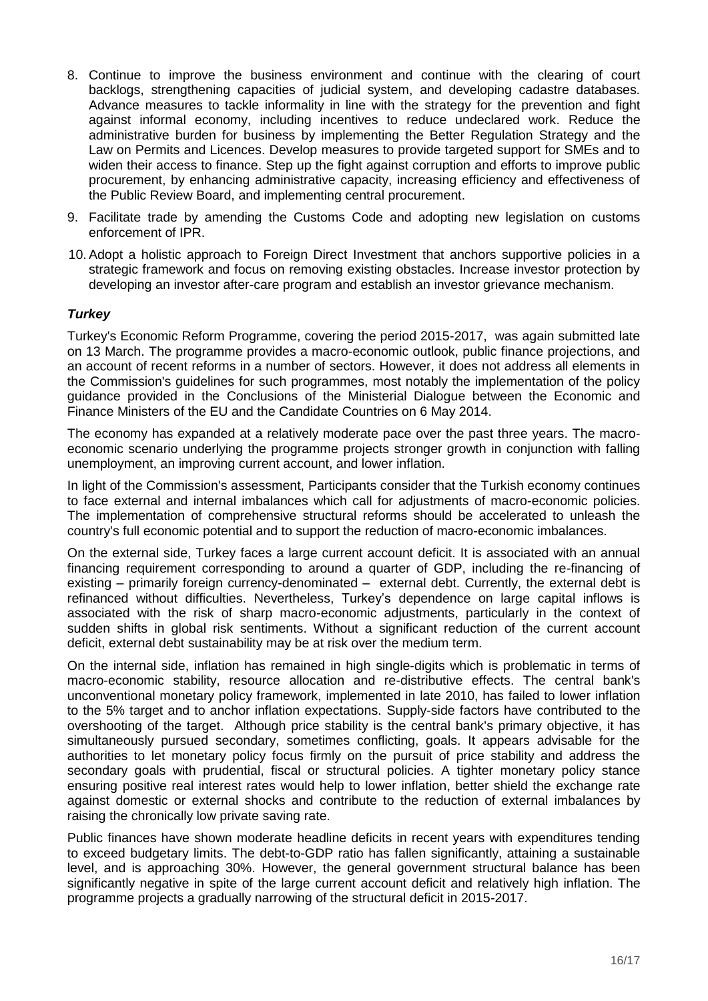- 8. Continue to improve the business environment and continue with the clearing of court backlogs, strengthening capacities of judicial system, and developing cadastre databases. Advance measures to tackle informality in line with the strategy for the prevention and fight against informal economy, including incentives to reduce undeclared work. Reduce the administrative burden for business by implementing the Better Regulation Strategy and the Law on Permits and Licences. Develop measures to provide targeted support for SMEs and to widen their access to finance. Step up the fight against corruption and efforts to improve public procurement, by enhancing administrative capacity, increasing efficiency and effectiveness of the Public Review Board, and implementing central procurement.
- 9. Facilitate trade by amending the Customs Code and adopting new legislation on customs enforcement of IPR.
- 10.Adopt a holistic approach to Foreign Direct Investment that anchors supportive policies in a strategic framework and focus on removing existing obstacles. Increase investor protection by developing an investor after-care program and establish an investor grievance mechanism.

# *Turkey*

Turkey's Economic Reform Programme, covering the period 2015-2017, was again submitted late on 13 March. The programme provides a macro-economic outlook, public finance projections, and an account of recent reforms in a number of sectors. However, it does not address all elements in the Commission's guidelines for such programmes, most notably the implementation of the policy guidance provided in the Conclusions of the Ministerial Dialogue between the Economic and Finance Ministers of the EU and the Candidate Countries on 6 May 2014.

The economy has expanded at a relatively moderate pace over the past three years. The macroeconomic scenario underlying the programme projects stronger growth in conjunction with falling unemployment, an improving current account, and lower inflation.

In light of the Commission's assessment, Participants consider that the Turkish economy continues to face external and internal imbalances which call for adjustments of macro-economic policies. The implementation of comprehensive structural reforms should be accelerated to unleash the country's full economic potential and to support the reduction of macro-economic imbalances.

On the external side, Turkey faces a large current account deficit. It is associated with an annual financing requirement corresponding to around a quarter of GDP, including the re-financing of existing – primarily foreign currency-denominated – external debt. Currently, the external debt is refinanced without difficulties. Nevertheless, Turkey's dependence on large capital inflows is associated with the risk of sharp macro-economic adjustments, particularly in the context of sudden shifts in global risk sentiments. Without a significant reduction of the current account deficit, external debt sustainability may be at risk over the medium term.

On the internal side, inflation has remained in high single-digits which is problematic in terms of macro-economic stability, resource allocation and re-distributive effects. The central bank's unconventional monetary policy framework, implemented in late 2010, has failed to lower inflation to the 5% target and to anchor inflation expectations. Supply-side factors have contributed to the overshooting of the target. Although price stability is the central bank's primary objective, it has simultaneously pursued secondary, sometimes conflicting, goals. It appears advisable for the authorities to let monetary policy focus firmly on the pursuit of price stability and address the secondary goals with prudential, fiscal or structural policies. A tighter monetary policy stance ensuring positive real interest rates would help to lower inflation, better shield the exchange rate against domestic or external shocks and contribute to the reduction of external imbalances by raising the chronically low private saving rate.

Public finances have shown moderate headline deficits in recent years with expenditures tending to exceed budgetary limits. The debt-to-GDP ratio has fallen significantly, attaining a sustainable level, and is approaching 30%. However, the general government structural balance has been significantly negative in spite of the large current account deficit and relatively high inflation. The programme projects a gradually narrowing of the structural deficit in 2015-2017.